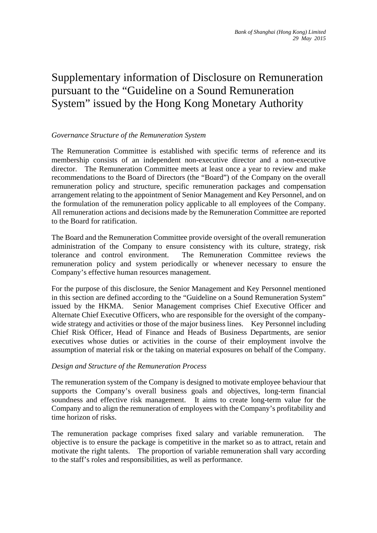## Supplementary information of Disclosure on Remuneration pursuant to the "Guideline on a Sound Remuneration System" issued by the Hong Kong Monetary Authority

#### *Governance Structure of the Remuneration System*

The Remuneration Committee is established with specific terms of reference and its membership consists of an independent non-executive director and a non-executive director. The Remuneration Committee meets at least once a year to review and make recommendations to the Board of Directors (the "Board") of the Company on the overall remuneration policy and structure, specific remuneration packages and compensation arrangement relating to the appointment of Senior Management and Key Personnel, and on the formulation of the remuneration policy applicable to all employees of the Company. All remuneration actions and decisions made by the Remuneration Committee are reported to the Board for ratification.

The Board and the Remuneration Committee provide oversight of the overall remuneration administration of the Company to ensure consistency with its culture, strategy, risk tolerance and control environment. The Remuneration Committee reviews the remuneration policy and system periodically or whenever necessary to ensure the Company's effective human resources management.

For the purpose of this disclosure, the Senior Management and Key Personnel mentioned in this section are defined according to the "Guideline on a Sound Remuneration System" issued by the HKMA. Senior Management comprises Chief Executive Officer and Alternate Chief Executive Officers, who are responsible for the oversight of the companywide strategy and activities or those of the major business lines. Key Personnel including Chief Risk Officer, Head of Finance and Heads of Business Departments, are senior executives whose duties or activities in the course of their employment involve the assumption of material risk or the taking on material exposures on behalf of the Company.

#### *Design and Structure of the Remuneration Process*

The remuneration system of the Company is designed to motivate employee behaviour that supports the Company's overall business goals and objectives, long-term financial soundness and effective risk management. It aims to create long-term value for the Company and to align the remuneration of employees with the Company's profitability and time horizon of risks.

The remuneration package comprises fixed salary and variable remuneration. The objective is to ensure the package is competitive in the market so as to attract, retain and motivate the right talents. The proportion of variable remuneration shall vary according to the staff's roles and responsibilities, as well as performance.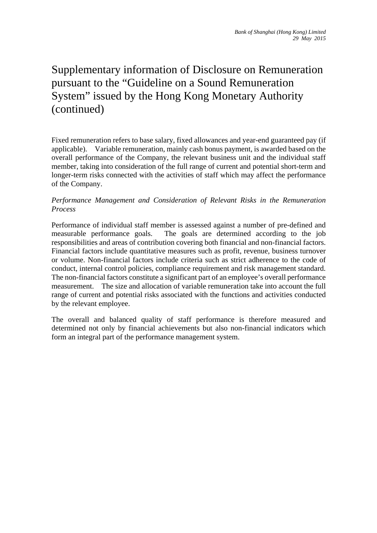# Supplementary information of Disclosure on Remuneration pursuant to the "Guideline on a Sound Remuneration System" issued by the Hong Kong Monetary Authority (continued)

Fixed remuneration refers to base salary, fixed allowances and year-end guaranteed pay (if applicable). Variable remuneration, mainly cash bonus payment, is awarded based on the overall performance of the Company, the relevant business unit and the individual staff member, taking into consideration of the full range of current and potential short-term and longer-term risks connected with the activities of staff which may affect the performance of the Company.

#### *Performance Management and Consideration of Relevant Risks in the Remuneration Process*

Performance of individual staff member is assessed against a number of pre-defined and measurable performance goals. The goals are determined according to the job responsibilities and areas of contribution covering both financial and non-financial factors. Financial factors include quantitative measures such as profit, revenue, business turnover or volume. Non-financial factors include criteria such as strict adherence to the code of conduct, internal control policies, compliance requirement and risk management standard. The non-financial factors constitute a significant part of an employee's overall performance measurement. The size and allocation of variable remuneration take into account the full range of current and potential risks associated with the functions and activities conducted by the relevant employee.

The overall and balanced quality of staff performance is therefore measured and determined not only by financial achievements but also non-financial indicators which form an integral part of the performance management system.